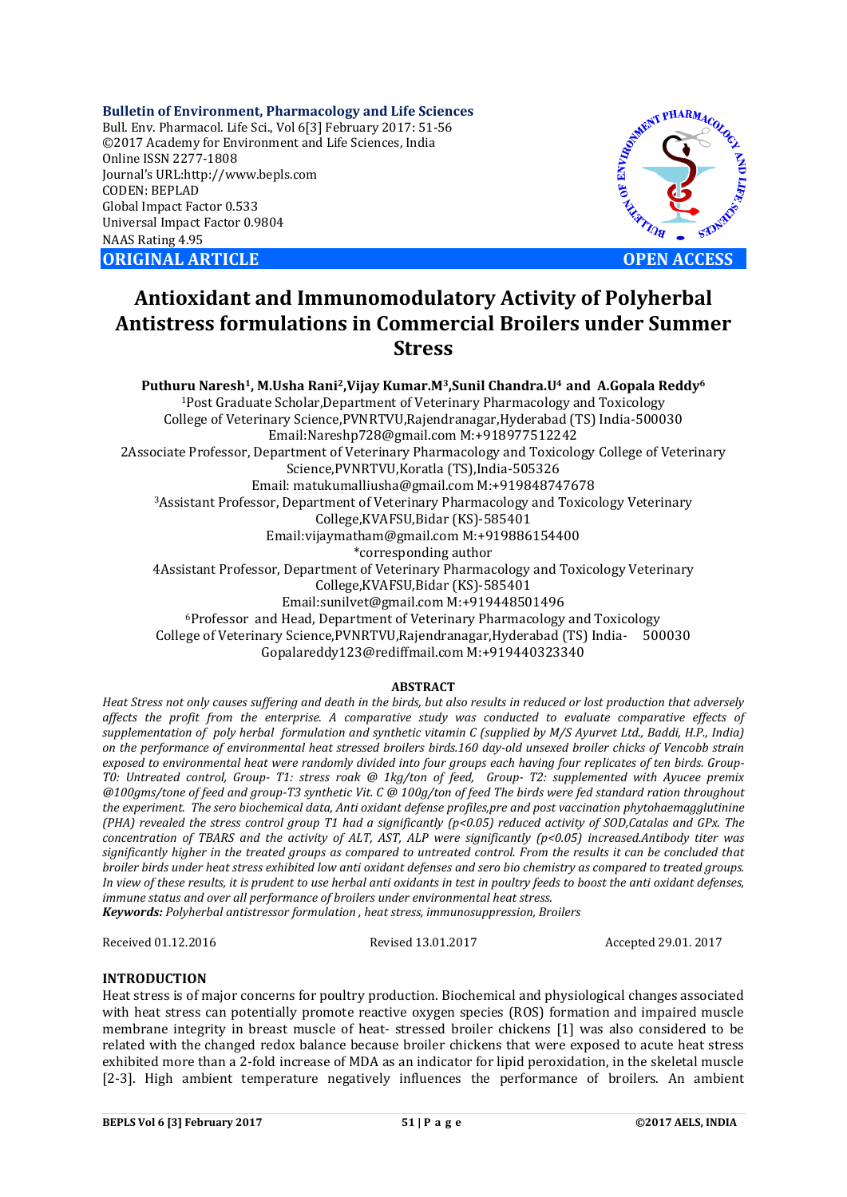**Bulletin of Environment, Pharmacology and Life Sciences** Bull. Env. Pharmacol. Life Sci., Vol 6[3] February 2017: 51-56 ©2017 Academy for Environment and Life Sciences, India Online ISSN 2277-1808 Journal's URL:http://www.bepls.com CODEN: BEPLAD Global Impact Factor 0.533 Universal Impact Factor 0.9804 NAAS Rating 4.95 **ORIGINAL ARTICLE OPEN ACCESS** 



# **Antioxidant and Immunomodulatory Activity of Polyherbal Antistress formulations in Commercial Broilers under Summer Stress**

**Puthuru Naresh1, M.Usha Rani2,Vijay Kumar.M3,Sunil Chandra.U4 and A.Gopala Reddy6** 1Post Graduate Scholar,Department of Veterinary Pharmacology and Toxicology College of Veterinary Science,PVNRTVU,Rajendranagar,Hyderabad (TS) India-500030 Email:Nareshp728@gmail.com M:+918977512242 2Associate Professor, Department of Veterinary Pharmacology and Toxicology College of Veterinary Science,PVNRTVU,Koratla (TS),India-505326 Email: matukumalliusha@gmail.com M:+919848747678 3Assistant Professor, Department of Veterinary Pharmacology and Toxicology Veterinary College,KVAFSU,Bidar (KS)-585401 Email:vijaymatham@gmail.com M:+919886154400 \*corresponding author 4Assistant Professor, Department of Veterinary Pharmacology and Toxicology Veterinary College,KVAFSU,Bidar (KS)-585401 Email:sunilvet@gmail.com M:+919448501496 6Professor and Head, Department of Veterinary Pharmacology and Toxicology College of Veterinary Science,PVNRTVU,Rajendranagar,Hyderabad (TS) India- 500030 Gopalareddy123@rediffmail.com M:+919440323340

## **ABSTRACT**

*Heat Stress not only causes suffering and death in the birds, but also results in reduced or lost production that adversely affects the profit from the enterprise. A comparative study was conducted to evaluate comparative effects of supplementation of poly herbal formulation and synthetic vitamin C (supplied by M/S Ayurvet Ltd., Baddi, H.P., India) on the performance of environmental heat stressed broilers birds.160 day-old unsexed broiler chicks of Vencobb strain exposed to environmental heat were randomly divided into four groups each having four replicates of ten birds. Group-T0: Untreated control, Group- T1: stress roak @ 1kg/ton of feed, Group- T2: supplemented with Ayucee premix @100gms/tone of feed and group-T3 synthetic Vit. C @ 100g/ton of feed The birds were fed standard ration throughout the experiment. The sero biochemical data, Anti oxidant defense profiles,pre and post vaccination phytohaemagglutinine (PHA) revealed the stress control group T1 had a significantly (p<0.05) reduced activity of SOD,Catalas and GPx. The concentration of TBARS and the activity of ALT, AST, ALP were significantly (p<0.05) increased.Antibody titer was significantly higher in the treated groups as compared to untreated control. From the results it can be concluded that broiler birds under heat stress exhibited low anti oxidant defenses and sero bio chemistry as compared to treated groups. In view of these results, it is prudent to use herbal anti oxidants in test in poultry feeds to boost the anti oxidant defenses, immune status and over all performance of broilers under environmental heat stress.*

*Keywords: Polyherbal antistressor formulation , heat stress, immunosuppression, Broilers*

Received 01.12.2016 Revised 13.01.2017 Accepted 29.01. 2017

## **INTRODUCTION**

Heat stress is of major concerns for poultry production. Biochemical and physiological changes associated with heat stress can potentially promote reactive oxygen species (ROS) formation and impaired muscle membrane integrity in breast muscle of heat- stressed broiler chickens [1] was also considered to be related with the changed redox balance because broiler chickens that were exposed to acute heat stress exhibited more than a 2-fold increase of MDA as an indicator for lipid peroxidation, in the skeletal muscle [2-3]. High ambient temperature negatively influences the performance of broilers. An ambient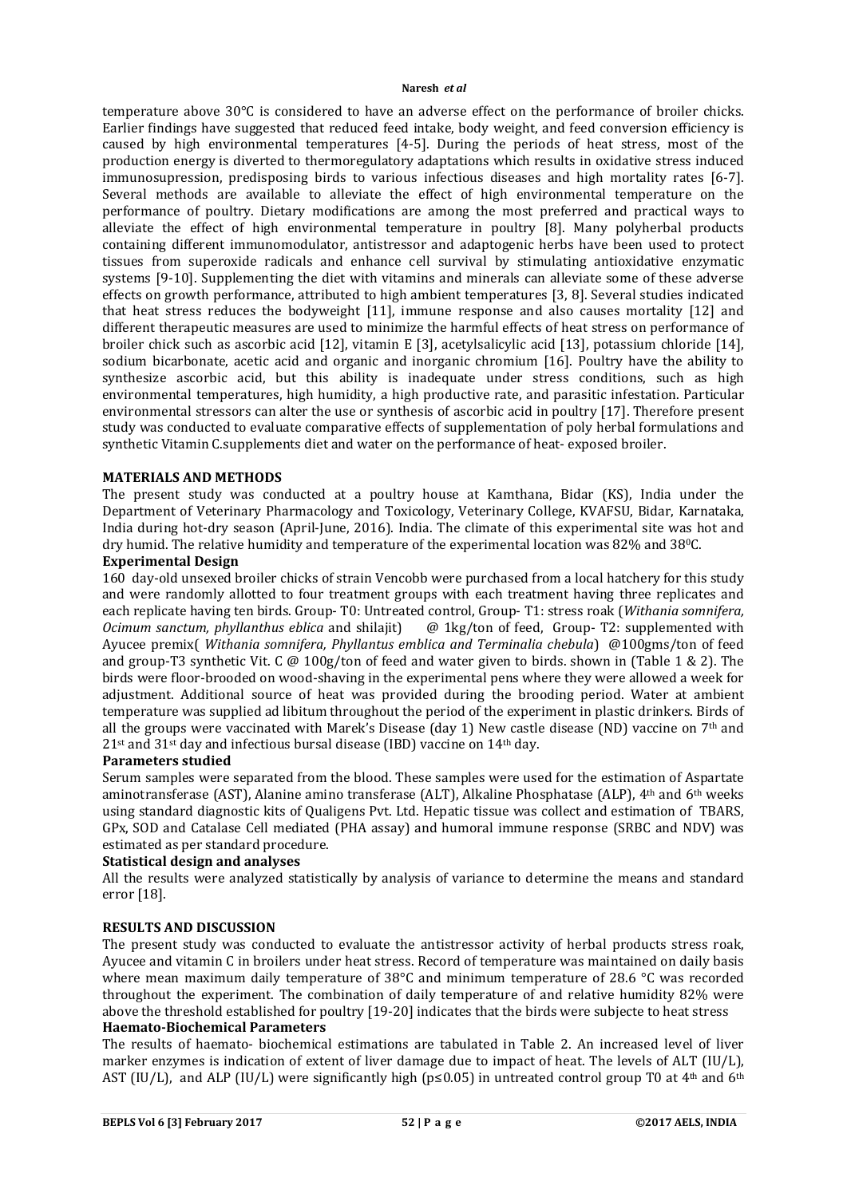temperature above 30°C is considered to have an adverse effect on the performance of broiler chicks. Earlier findings have suggested that reduced feed intake, body weight, and feed conversion efficiency is caused by high environmental temperatures [4-5]. During the periods of heat stress, most of the production energy is diverted to thermoregulatory adaptations which results in oxidative stress induced immunosupression, predisposing birds to various infectious diseases and high mortality rates [6-7]. Several methods are available to alleviate the effect of high environmental temperature on the performance of poultry. Dietary modifications are among the most preferred and practical ways to alleviate the effect of high environmental temperature in poultry [8]. Many polyherbal products containing different immunomodulator, antistressor and adaptogenic herbs have been used to protect tissues from superoxide radicals and enhance cell survival by stimulating antioxidative enzymatic systems [9-10]. Supplementing the diet with vitamins and minerals can alleviate some of these adverse effects on growth performance, attributed to high ambient temperatures [3, 8]. Several studies indicated that heat stress reduces the bodyweight [11], immune response and also causes mortality [12] and different therapeutic measures are used to minimize the harmful effects of heat stress on performance of broiler chick such as ascorbic acid [12], vitamin E [3], acetylsalicylic acid [13], potassium chloride [14], sodium bicarbonate, acetic acid and organic and inorganic chromium [16]. Poultry have the ability to synthesize ascorbic acid, but this ability is inadequate under stress conditions, such as high environmental temperatures, high humidity, a high productive rate, and parasitic infestation. Particular environmental stressors can alter the use or synthesis of ascorbic acid in poultry [17]. Therefore present study was conducted to evaluate comparative effects of supplementation of poly herbal formulations and synthetic Vitamin C.supplements diet and water on the performance of heat- exposed broiler.

#### **MATERIALS AND METHODS**

The present study was conducted at a poultry house at Kamthana, Bidar (KS), India under the Department of Veterinary Pharmacology and Toxicology, Veterinary College, KVAFSU, Bidar, Karnataka, India during hot-dry season (April-June, 2016). India. The climate of this experimental site was hot and dry humid. The relative humidity and temperature of the experimental location was 82% and 38°C.

## **Experimental Design**

160 day-old unsexed broiler chicks of strain Vencobb were purchased from a local hatchery for this study and were randomly allotted to four treatment groups with each treatment having three replicates and each replicate having ten birds. Group- T0: Untreated control, Group- T1: stress roak (*Withania somnifera, Ocimum sanctum, phyllanthus eblica* and shilajit) @ 1kg/ton of feed, Group- T2: supplemented with Ayucee premix( *Withania somnifera, Phyllantus emblica and Terminalia chebula*) @100gms/ton of feed and group-T3 synthetic Vit. C @ 100g/ton of feed and water given to birds. shown in (Table 1 & 2). The birds were floor-brooded on wood-shaving in the experimental pens where they were allowed a week for adjustment. Additional source of heat was provided during the brooding period. Water at ambient temperature was supplied ad libitum throughout the period of the experiment in plastic drinkers. Birds of all the groups were vaccinated with Marek's Disease (day 1) New castle disease (ND) vaccine on  $7<sup>th</sup>$  and  $21$ <sup>st</sup> and  $31$ <sup>st</sup> day and infectious bursal disease (IBD) vaccine on  $14$ <sup>th</sup> day.

## **Parameters studied**

Serum samples were separated from the blood. These samples were used for the estimation of Aspartate aminotransferase (AST), Alanine amino transferase (ALT), Alkaline Phosphatase (ALP), 4th and 6th weeks using standard diagnostic kits of Qualigens Pvt. Ltd. Hepatic tissue was collect and estimation of TBARS, GPx, SOD and Catalase Cell mediated (PHA assay) and humoral immune response (SRBC and NDV) was estimated as per standard procedure.

#### **Statistical design and analyses**

All the results were analyzed statistically by analysis of variance to determine the means and standard error [18].

## **RESULTS AND DISCUSSION**

The present study was conducted to evaluate the antistressor activity of herbal products stress roak, Ayucee and vitamin C in broilers under heat stress. Record of temperature was maintained on daily basis where mean maximum daily temperature of 38°C and minimum temperature of 28.6 °C was recorded throughout the experiment. The combination of daily temperature of and relative humidity 82% were above the threshold established for poultry [19-20] indicates that the birds were subjecte to heat stress **Haemato-Biochemical Parameters**

The results of haemato- biochemical estimations are tabulated in Table 2. An increased level of liver marker enzymes is indication of extent of liver damage due to impact of heat. The levels of ALT (IU/L), AST (IU/L), and ALP (IU/L) were significantly high ( $p \le 0.05$ ) in untreated control group T0 at 4<sup>th</sup> and 6<sup>th</sup>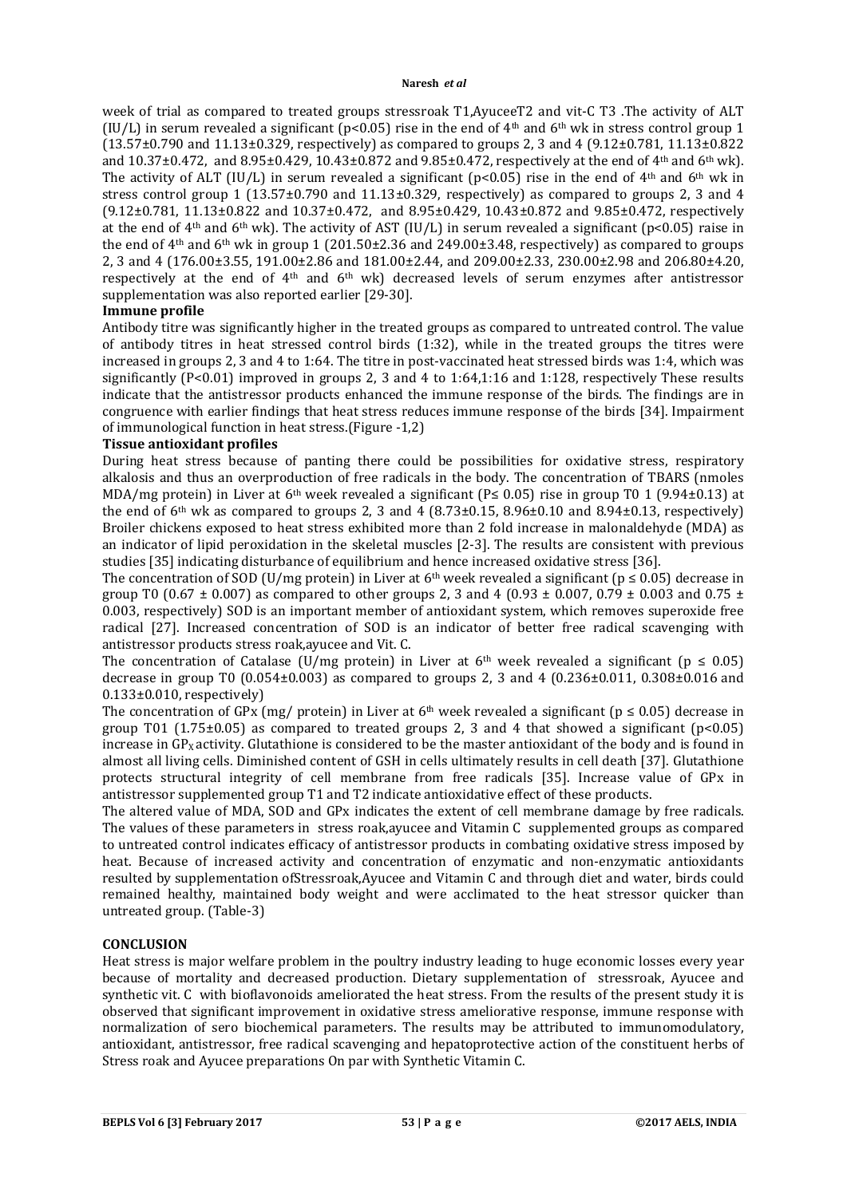week of trial as compared to treated groups stressroak T1,AyuceeT2 and vit-C T3 .The activity of ALT (IU/L) in serum revealed a significant (p<0.05) rise in the end of  $4<sup>th</sup>$  and  $6<sup>th</sup>$  wk in stress control group 1  $(13.57\pm0.790$  and  $11.13\pm0.329$ , respectively) as compared to groups 2, 3 and 4  $(9.12\pm0.781, 11.13\pm0.822)$ and 10.37±0.472, and 8.95±0.429, 10.43±0.872 and 9.85±0.472, respectively at the end of 4<sup>th</sup> and 6<sup>th</sup> wk). The activity of ALT (IU/L) in serum revealed a significant ( $p$ <0.05) rise in the end of 4<sup>th</sup> and 6<sup>th</sup> wk in stress control group 1 (13.57±0.790 and  $11.13\pm0.329$ , respectively) as compared to groups 2, 3 and 4 (9.12±0.781, 11.13±0.822 and 10.37±0.472, and 8.95±0.429, 10.43±0.872 and 9.85±0.472, respectively at the end of 4<sup>th</sup> and 6<sup>th</sup> wk). The activity of AST (IU/L) in serum revealed a significant (p<0.05) raise in the end of  $4<sup>th</sup>$  and  $6<sup>th</sup>$  wk in group 1 (201.50 $\pm$ 2.36 and 249.00 $\pm$ 3.48, respectively) as compared to groups 2, 3 and 4 (176.00±3.55, 191.00±2.86 and 181.00±2.44, and 209.00±2.33, 230.00±2.98 and 206.80±4.20, respectively at the end of 4<sup>th</sup> and 6<sup>th</sup> wk) decreased levels of serum enzymes after antistressor supplementation was also reported earlier [29-30].

## **Immune profile**

Antibody titre was significantly higher in the treated groups as compared to untreated control. The value of antibody titres in heat stressed control birds (1:32), while in the treated groups the titres were increased in groups 2, 3 and 4 to 1:64. The titre in post-vaccinated heat stressed birds was 1:4, which was significantly (P<0.01) improved in groups 2, 3 and 4 to 1:64,1:16 and 1:128, respectively These results indicate that the antistressor products enhanced the immune response of the birds. The findings are in congruence with earlier findings that heat stress reduces immune response of the birds [34]. Impairment of immunological function in heat stress.(Figure -1,2)

## **Tissue antioxidant profiles**

During heat stress because of panting there could be possibilities for oxidative stress, respiratory alkalosis and thus an overproduction of free radicals in the body. The concentration of TBARS (nmoles MDA/mg protein) in Liver at 6<sup>th</sup> week revealed a significant (P \ 0.05) rise in group T0 1 (9.94 $\pm$ 0.13) at the end of 6<sup>th</sup> wk as compared to groups 2, 3 and 4 (8.73 $\pm$ 0.15, 8.96 $\pm$ 0.10 and 8.94 $\pm$ 0.13, respectively) Broiler chickens exposed to heat stress exhibited more than 2 fold increase in malonaldehyde (MDA) as an indicator of lipid peroxidation in the skeletal muscles [2-3]. The results are consistent with previous studies [35] indicating disturbance of equilibrium and hence increased oxidative stress [36].

The concentration of SOD (U/mg protein) in Liver at 6<sup>th</sup> week revealed a significant ( $p \le 0.05$ ) decrease in group T0 (0.67  $\pm$  0.007) as compared to other groups 2, 3 and 4 (0.93  $\pm$  0.007, 0.79  $\pm$  0.003 and 0.75  $\pm$ 0.003, respectively) SOD is an important member of antioxidant system, which removes superoxide free radical [27]. Increased concentration of SOD is an indicator of better free radical scavenging with antistressor products stress roak,ayucee and Vit. C.

The concentration of Catalase (U/mg protein) in Liver at 6<sup>th</sup> week revealed a significant ( $p \le 0.05$ ) decrease in group T0 (0.054 $\pm$ 0.003) as compared to groups 2, 3 and 4 (0.236 $\pm$ 0.011, 0.308 $\pm$ 0.016 and  $0.133\pm0.010$ , respectively)

The concentration of GPx (mg/ protein) in Liver at 6<sup>th</sup> week revealed a significant ( $p \le 0.05$ ) decrease in group T01 (1.75 $\pm$ 0.05) as compared to treated groups 2, 3 and 4 that showed a significant (p<0.05) increase in GP<sub>x</sub> activity. Glutathione is considered to be the master antioxidant of the body and is found in almost all living cells. Diminished content of GSH in cells ultimately results in cell death [37]. Glutathione protects structural integrity of cell membrane from free radicals [35]. Increase value of GPx in antistressor supplemented group T1 and T2 indicate antioxidative effect of these products.

The altered value of MDA, SOD and GPx indicates the extent of cell membrane damage by free radicals. The values of these parameters in stress roak,ayucee and Vitamin C supplemented groups as compared to untreated control indicates efficacy of antistressor products in combating oxidative stress imposed by heat. Because of increased activity and concentration of enzymatic and non-enzymatic antioxidants resulted by supplementation ofStressroak,Ayucee and Vitamin C and through diet and water, birds could remained healthy, maintained body weight and were acclimated to the heat stressor quicker than untreated group. (Table-3)

## **CONCLUSION**

Heat stress is major welfare problem in the poultry industry leading to huge economic losses every year because of mortality and decreased production. Dietary supplementation of stressroak, Ayucee and synthetic vit. C with bioflavonoids ameliorated the heat stress. From the results of the present study it is observed that significant improvement in oxidative stress ameliorative response, immune response with normalization of sero biochemical parameters. The results may be attributed to immunomodulatory, antioxidant, antistressor, free radical scavenging and hepatoprotective action of the constituent herbs of Stress roak and Ayucee preparations On par with Synthetic Vitamin C.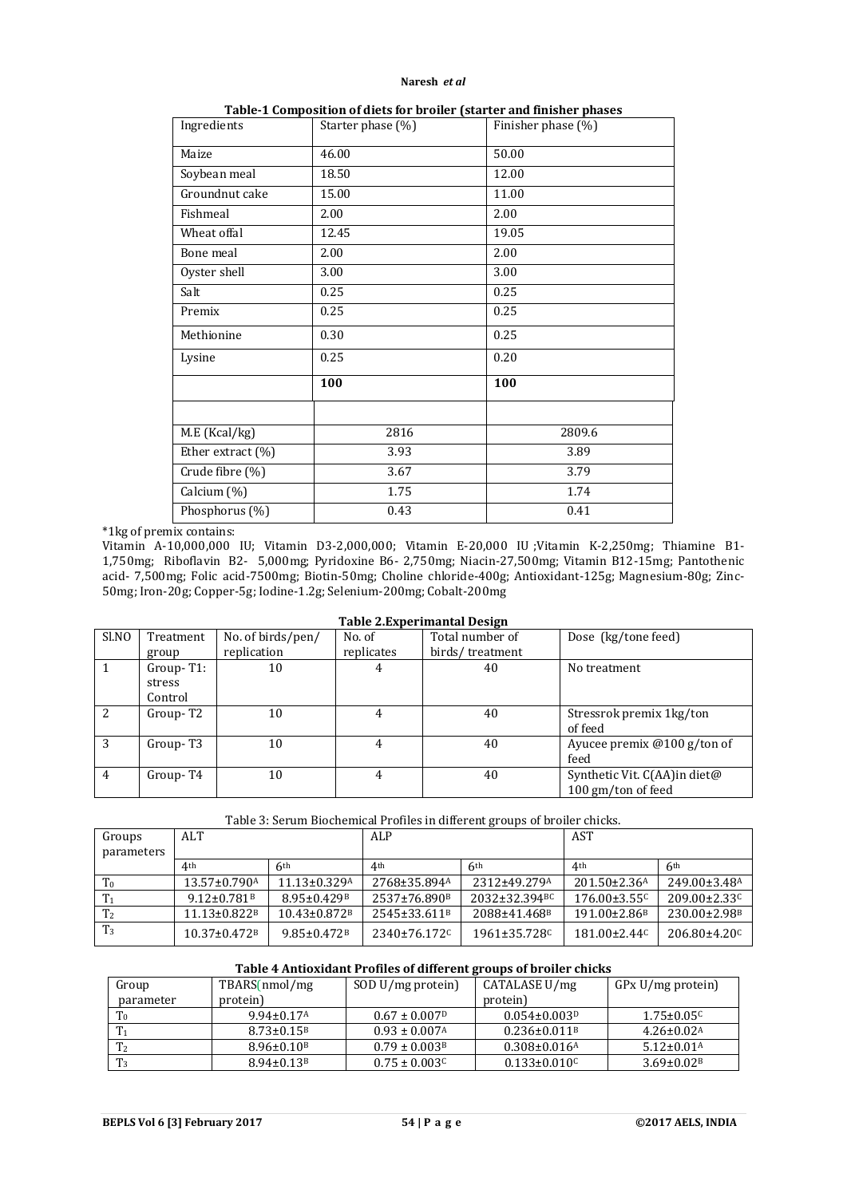| Ingredients       | Starter phase (%) | Finisher phase (%) |  |
|-------------------|-------------------|--------------------|--|
| Maize             | 46.00             | 50.00              |  |
| Soybean meal      | 18.50             | 12.00              |  |
| Groundnut cake    | 15.00             | 11.00              |  |
| Fishmeal          | 2.00              | 2.00               |  |
| Wheat offal       | 12.45             | 19.05              |  |
| Bone meal         | 2.00              | 2.00               |  |
| Oyster shell      | 3.00              | 3.00               |  |
| Salt              | 0.25              | 0.25               |  |
| Premix            | 0.25              | 0.25               |  |
| Methionine        | 0.30              | 0.25               |  |
| Lysine            | 0.25              | 0.20               |  |
|                   | 100               | 100                |  |
|                   |                   |                    |  |
| M.E (Kcal/kg)     | 2816              | 2809.6             |  |
| Ether extract (%) | 3.93<br>3.89      |                    |  |
| Crude fibre (%)   | 3.67              | 3.79               |  |
| Calcium (%)       | 1.75              | 1.74               |  |
| Phosphorus (%)    | 0.43              | 0.41               |  |

**Table-1 Composition of diets for broiler (starter and finisher phases**

#### \*1kg of premix contains:

Vitamin A-10,000,000 IU; Vitamin D3-2,000,000; Vitamin E-20,000 IU ;Vitamin K-2,250mg; Thiamine B1- 1,750mg; Riboflavin B2- 5,000mg; Pyridoxine B6- 2,750mg; Niacin-27,500mg; Vitamin B12-15mg; Pantothenic acid- 7,500mg; Folic acid-7500mg; Biotin-50mg; Choline chloride-400g; Antioxidant-125g; Magnesium-80g; Zinc-50mg; Iron-20g; Copper-5g; Iodine-1.2g; Selenium-200mg; Cobalt-200mg

| Table Z.Experimantal Design |                      |                   |            |                 |                               |  |
|-----------------------------|----------------------|-------------------|------------|-----------------|-------------------------------|--|
| Sl.NO                       | Treatment            | No. of birds/pen/ | No. of     | Total number of | Dose (kg/tone feed)           |  |
|                             | group                | replication       | replicates | birds/treatment |                               |  |
|                             | $Group-T1:$          | 10                | 4          | 40              | No treatment                  |  |
|                             | stress               |                   |            |                 |                               |  |
|                             | Control              |                   |            |                 |                               |  |
| $\overline{2}$              | Group-T2             | 10                | 4          | 40              | Stressrok premix 1 kg/ton     |  |
|                             |                      |                   |            |                 | of feed                       |  |
| 3                           | Group-T <sub>3</sub> | 10                | 4          | 40              | Ayucee premix $@100 g/ton$ of |  |
|                             |                      |                   |            |                 | feed                          |  |
| $\overline{4}$              | Group-T4             | 10                | 4          | 40              | Synthetic Vit. C(AA) in diet@ |  |
|                             |                      |                   |            |                 | 100 gm/ton of feed            |  |

# **Table 2.Experimantal Design**

Table 3: Serum Biochemical Profiles in different groups of broiler chicks.

| Groups<br>parameters | ALT                            |                                | ALP                      |                              | <b>AST</b>                     |                              |
|----------------------|--------------------------------|--------------------------------|--------------------------|------------------------------|--------------------------------|------------------------------|
|                      | 4 <sup>th</sup>                | 6th                            | 4 <sup>th</sup>          | 6 <sup>th</sup>              | 4 <sup>th</sup>                | 6 <sup>th</sup>              |
| T <sub>0</sub>       | $13.57 \pm 0.790$ <sup>A</sup> | $11.13 \pm 0.329$ <sup>A</sup> | 2768±35.894A             | 2312±49.279A                 | $201.50 \pm 2.36$ <sup>A</sup> | 249.00±3.48A                 |
| T <sub>1</sub>       | $9.12 \pm 0.781$ <sup>B</sup>  | 8.95+0.429 <sup>B</sup>        | 2537±76.890 <sup>B</sup> | 2032±32.394 <sup>BC</sup>    | $176.00 \pm 3.55$ <sup>c</sup> | $209.00 \pm 2.33$            |
| T <sub>2</sub>       | $11.13 \pm 0.822B$             | $10.43 \pm 0.872$ <sup>B</sup> | 2545±33.611 <sup>B</sup> | 2088±41.468 <sup>B</sup>     | $191.00 \pm 2.86$ <sup>B</sup> | 230.00±2.98 <sup>B</sup>     |
| T <sub>3</sub>       | $10.37 \pm 0.472$ <sup>B</sup> | $9.85 \pm 0.472$ <sup>B</sup>  | 2340±76.172 <sup>c</sup> | $1961\pm35.728$ <sup>C</sup> | $181.00 \pm 2.44$ <sup>C</sup> | $206.80\pm4.20$ <sup>C</sup> |

#### **Table 4 Antioxidant Profiles of different groups of broiler chicks**

| Group          | TBARS(nmol/mg                | SOD U/mg protein)             | CATALASE U/mg                  | GPx U/mg protein)            |
|----------------|------------------------------|-------------------------------|--------------------------------|------------------------------|
| parameter      | protein)                     |                               | protein)                       |                              |
| T <sub>0</sub> | $9.94 \pm 0.17$ <sup>A</sup> | $0.67 \pm 0.007$ <sup>D</sup> | $0.054 \pm 0.003P$             | $1.75 \pm 0.05$ <sup>C</sup> |
|                | $8.73 \pm 0.15$ <sup>B</sup> | $0.93 \pm 0.007$ <sup>A</sup> | $0.236 \pm 0.011$ <sup>B</sup> | $4.26 \pm 0.02$ <sup>A</sup> |
| T <sub>2</sub> | $8.96 \pm 0.10^8$            | $0.79 \pm 0.003$ <sup>B</sup> | $0.308 \pm 0.016$ <sup>A</sup> | $5.12 \pm 0.01^{\text{A}}$   |
| $T_3$          | $8.94 \pm 0.13$ <sup>B</sup> | $0.75 \pm 0.003c$             | $0.133 \pm 0.010$              | $3.69 \pm 0.02$ <sup>B</sup> |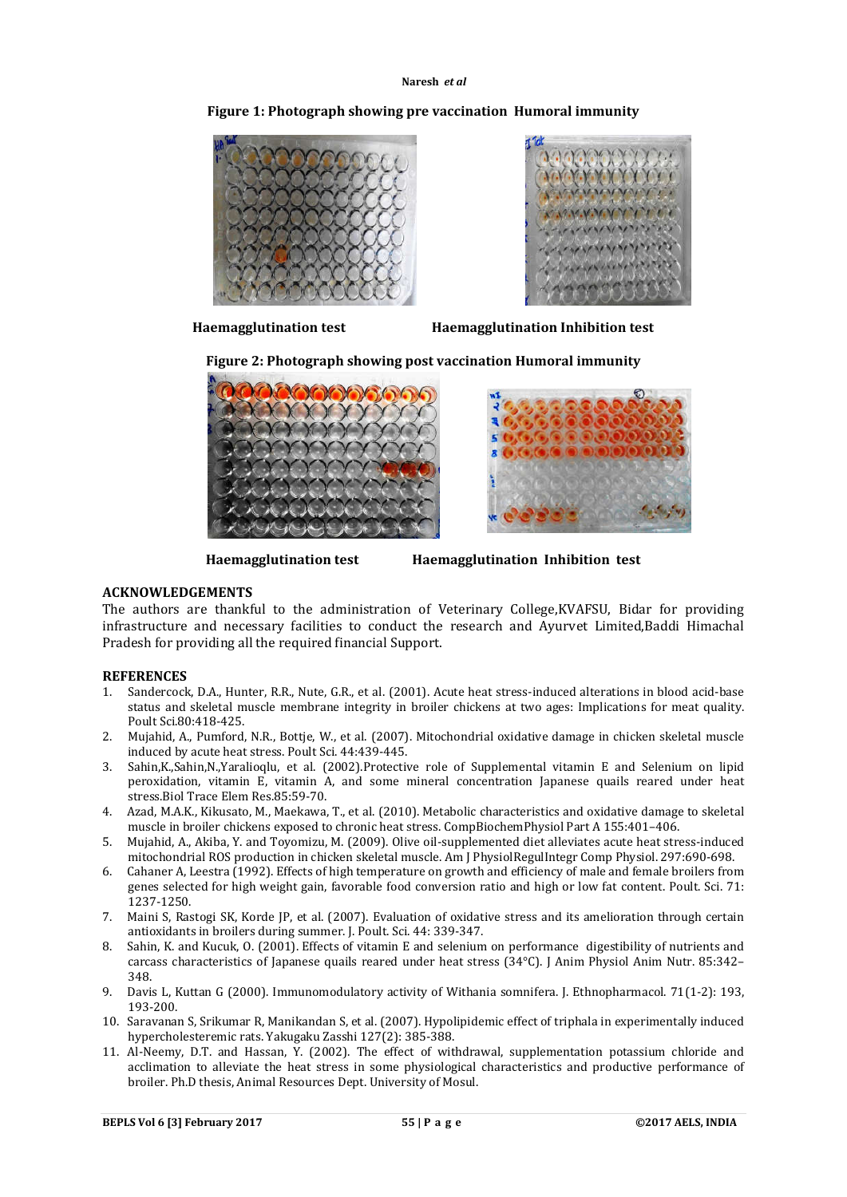

# **Figure 1: Photograph showing pre vaccination Humoral immunity**



**Haemagglutination test Haemagglutination Inhibition test**

**Figure 2: Photograph showing post vaccination Humoral immunity**





**Haemagglutination test Haemagglutination Inhibition test**

## **ACKNOWLEDGEMENTS**

The authors are thankful to the administration of Veterinary College,KVAFSU, Bidar for providing infrastructure and necessary facilities to conduct the research and Ayurvet Limited,Baddi Himachal Pradesh for providing all the required financial Support.

## **REFERENCES**

- 1. Sandercock, D.A., Hunter, R.R., Nute, G.R., et al. (2001). Acute heat stress-induced alterations in blood acid-base status and skeletal muscle membrane integrity in broiler chickens at two ages: Implications for meat quality. Poult Sci.80:418-425.
- 2. Mujahid, A., Pumford, N.R., Bottje, W., et al. (2007). Mitochondrial oxidative damage in chicken skeletal muscle induced by acute heat stress. Poult Sci. 44:439-445.
- 3. Sahin,K.,Sahin,N.,Yaralioqlu, et al. (2002).Protective role of Supplemental vitamin E and Selenium on lipid peroxidation, vitamin E, vitamin A, and some mineral concentration Japanese quails reared under heat stress.Biol Trace Elem Res.85:59-70.
- 4. Azad, M.A.K., Kikusato, M., Maekawa, T., et al. (2010). Metabolic characteristics and oxidative damage to skeletal muscle in broiler chickens exposed to chronic heat stress. CompBiochemPhysiol Part A 155:401–406.
- 5. Mujahid, A., Akiba, Y. and Toyomizu, M. (2009). Olive oil-supplemented diet alleviates acute heat stress-induced mitochondrial ROS production in chicken skeletal muscle. Am J PhysiolRegulIntegr Comp Physiol. 297:690-698.
- 6. Cahaner A, Leestra (1992). Effects of high temperature on growth and efficiency of male and female broilers from genes selected for high weight gain, favorable food conversion ratio and high or low fat content. Poult. Sci. 71: 1237-1250.
- 7. Maini S, Rastogi SK, Korde JP, et al. (2007). Evaluation of oxidative stress and its amelioration through certain antioxidants in broilers during summer. J. Poult. Sci. 44: 339-347.
- 8. Sahin, K. and Kucuk, O. (2001). Effects of vitamin E and selenium on performance digestibility of nutrients and carcass characteristics of Japanese quails reared under heat stress (34°C). J Anim Physiol Anim Nutr. 85:342– 348.
- 9. Davis L, Kuttan G (2000). Immunomodulatory activity of Withania somnifera. J. Ethnopharmacol. 71(1-2): 193, 193-200.
- 10. Saravanan S, Srikumar R, Manikandan S, et al. (2007). Hypolipidemic effect of triphala in experimentally induced hypercholesteremic rats. Yakugaku Zasshi 127(2): 385-388.
- 11. Al-Neemy, D.T. and Hassan, Y. (2002). The effect of withdrawal, supplementation potassium chloride and acclimation to alleviate the heat stress in some physiological characteristics and productive performance of broiler. Ph.D thesis, Animal Resources Dept. University of Mosul.